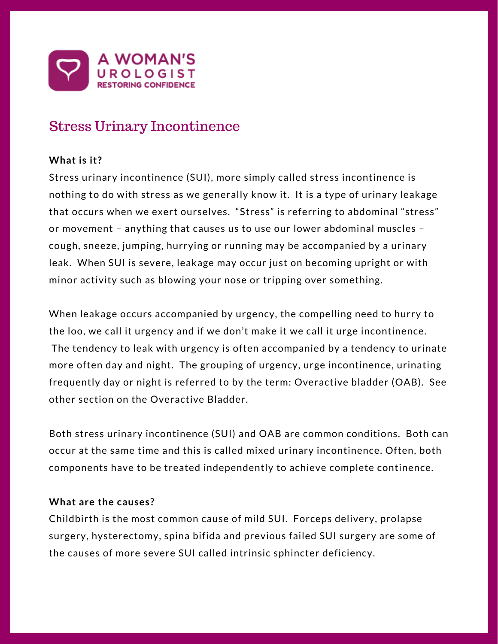

# Stress Urinary Incontinence

## **What is it?**

Stress urinary incontinence (SUI), more simply called stress incontinence is nothing to do with stress as we generally know it. It is a type of urinary leakage that occurs when we exert ourselves. "Stress" is referring to abdominal "stress" or movement – anything that causes us to use our lower abdominal muscles – cough, sneeze, jumping, hurrying or running may be accompanied by a urinary leak. When SUI is severe, leakage may occur just on becoming upright or with minor activity such as blowing your nose or tripping over something.

When leakage occurs accompanied by urgency, the compelling need to hurry to the loo, we call it urgency and if we don't make it we call it urge incontinence. The tendency to leak with urgency is often accompanied by a tendency to urinate more often day and night. The grouping of urgency, urge incontinence, urinating frequently day or night is referred to by the term: Overactive bladder (OAB). See other section on the Overactive Bladder.

Both stress urinary incontinence (SUI) and OAB are common conditions. Both can occur at the same time and this is called mixed urinary incontinence. Often, both components have to be treated independently to achieve complete continence.

## **What are the causes?**

Childbirth is the most common cause of mild SUI. Forceps delivery, prolapse surgery, hysterectomy, spina bifida and previous failed SUI surgery are some of the causes of more severe SUI called intrinsic sphincter deficiency.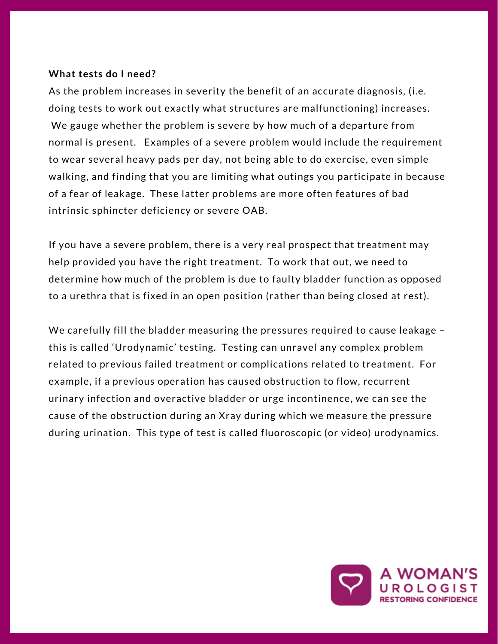### **What tests do I need?**

As the problem increases in severity the benefit of an accurate diagnosis, (i.e. doing tests to work out exactly what structures are malfunctioning) increases. We gauge whether the problem is severe by how much of a departure from normal is present. Examples of a severe problem would include the requirement to wear several heavy pads per day, not being able to do exercise, even simple walking, and finding that you are limiting what outings you participate in because of a fear of leakage. These latter problems are more often features of bad intrinsic sphincter deficiency or severe OAB.

If you have a severe problem, there is a very real prospect that treatment may help provided you have the right treatment. To work that out, we need to determine how much of the problem is due to faulty bladder function as opposed to a urethra that is fixed in an open position (rather than being closed at rest).

We carefully fill the bladder measuring the pressures required to cause leakage – this is called 'Urodynamic' testing. Testing can unravel any complex problem related to previous failed treatment or complications related to treatment. For example, if a previous operation has caused obstruction to flow, recurrent urinary infection and overactive bladder or urge incontinence, we can see the cause of the obstruction during an Xray during which we measure the pressure during urination. This type of test is called fluoroscopic (or video) urodynamics.

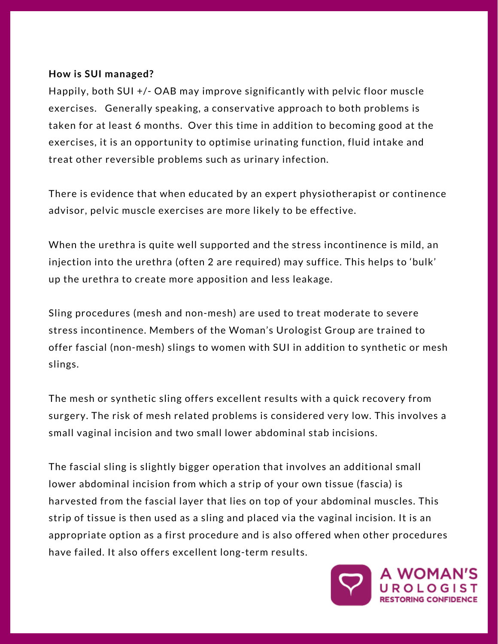### **How is SUI managed?**

Happily, both SUI +/- OAB may improve significantly with pelvic floor muscle exercises. Generally speaking, a conservative approach to both problems is taken for at least 6 months. Over this time in addition to becoming good at the exercises, it is an opportunity to optimise urinating function, fluid intake and treat other reversible problems such as urinary infection.

There is evidence that when educated by an expert physiotherapist or continence advisor, pelvic muscle exercises are more likely to be effective.

When the urethra is quite well supported and the stress incontinence is mild, an injection into the urethra (often 2 are required) may suffice. This helps to 'bulk' up the urethra to create more apposition and less leakage.

Sling procedures (mesh and non-mesh) are used to treat moderate to severe stress incontinence. Members of the Woman's Urologist Group are trained to offer fascial (non-mesh) slings to women with SUI in addition to synthetic or mesh slings.

The mesh or synthetic sling offers excellent results with a quick recovery from surgery. The risk of mesh related problems is considered very low. This involves a small vaginal incision and two small lower abdominal stab incisions.

The fascial sling is slightly bigger operation that involves an additional small lower abdominal incision from which a strip of your own tissue (fascia) is harvested from the fascial layer that lies on top of your abdominal muscles. This strip of tissue is then used as a sling and placed via the vaginal incision. It is an appropriate option as a first procedure and is also offered when other procedures have failed. It also offers excellent long-term results.